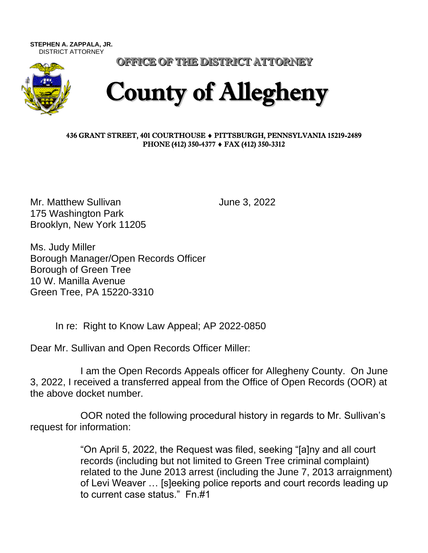**STEPHEN A. ZAPPALA, JR.**  DISTRICT ATTORNEY



OFFICE OF THE DISTRICT ATTORNEY

## County of Allegheny

## 436 GRANT STREET, 401 COURTHOUSE PITTSBURGH, PENNSYLVANIA 15219-2489 PHONE (412) 350-4377 ♦ FAX (412) 350-3312

Mr. Matthew Sullivan June 3, 2022 175 Washington Park Brooklyn, New York 11205

Ms. Judy Miller Borough Manager/Open Records Officer Borough of Green Tree 10 W. Manilla Avenue Green Tree, PA 15220-3310

In re: Right to Know Law Appeal; AP 2022-0850

Dear Mr. Sullivan and Open Records Officer Miller:

I am the Open Records Appeals officer for Allegheny County. On June 3, 2022, I received a transferred appeal from the Office of Open Records (OOR) at the above docket number.

OOR noted the following procedural history in regards to Mr. Sullivan's request for information:

> "On April 5, 2022, the Request was filed, seeking "[a]ny and all court records (including but not limited to Green Tree criminal complaint) related to the June 2013 arrest (including the June 7, 2013 arraignment) of Levi Weaver … [s]eeking police reports and court records leading up to current case status." Fn.#1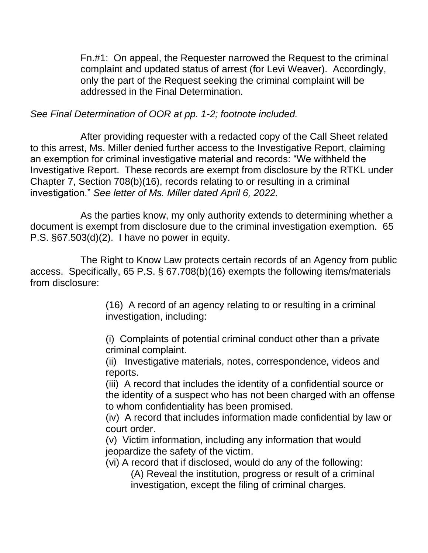Fn.#1: On appeal, the Requester narrowed the Request to the criminal complaint and updated status of arrest (for Levi Weaver). Accordingly, only the part of the Request seeking the criminal complaint will be addressed in the Final Determination.

*See Final Determination of OOR at pp. 1-2; footnote included.* 

After providing requester with a redacted copy of the Call Sheet related to this arrest, Ms. Miller denied further access to the Investigative Report, claiming an exemption for criminal investigative material and records: "We withheld the Investigative Report. These records are exempt from disclosure by the RTKL under Chapter 7, Section 708(b)(16), records relating to or resulting in a criminal investigation." *See letter of Ms. Miller dated April 6, 2022.*

As the parties know, my only authority extends to determining whether a document is exempt from disclosure due to the criminal investigation exemption. 65 P.S. §67.503(d)(2). I have no power in equity.

The Right to Know Law protects certain records of an Agency from public access. Specifically, 65 P.S. § 67.708(b)(16) exempts the following items/materials from disclosure:

> (16) A record of an agency relating to or resulting in a criminal investigation, including:

(i) Complaints of potential criminal conduct other than a private criminal complaint.

(ii) Investigative materials, notes, correspondence, videos and reports.

(iii) A record that includes the identity of a confidential source or the identity of a suspect who has not been charged with an offense to whom confidentiality has been promised.

(iv) A record that includes information made confidential by law or court order.

(v) Victim information, including any information that would jeopardize the safety of the victim.

(vi) A record that if disclosed, would do any of the following: (A) Reveal the institution, progress or result of a criminal investigation, except the filing of criminal charges.